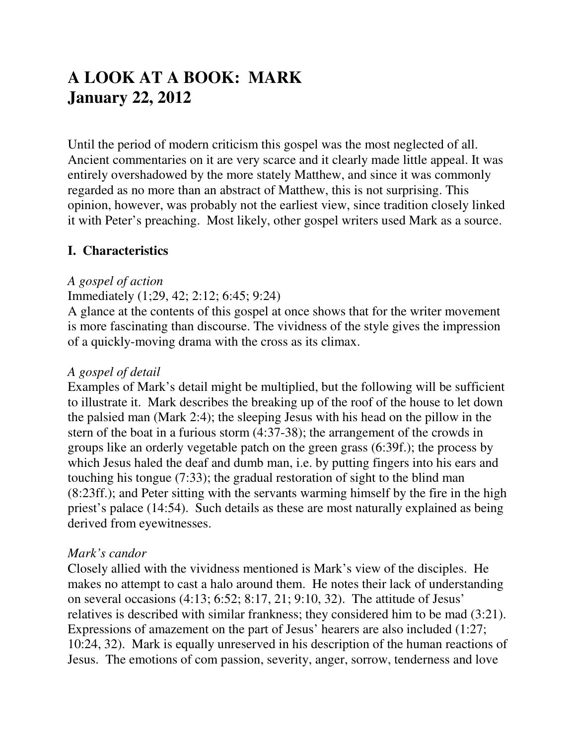# **A LOOK AT A BOOK: MARK January 22, 2012**

Until the period of modern criticism this gospel was the most neglected of all. Ancient commentaries on it are very scarce and it clearly made little appeal. It was entirely overshadowed by the more stately Matthew, and since it was commonly regarded as no more than an abstract of Matthew, this is not surprising. This opinion, however, was probably not the earliest view, since tradition closely linked it with Peter's preaching. Most likely, other gospel writers used Mark as a source.

### **I. Characteristics**

#### *A gospel of action*

#### Immediately (1;29, 42; 2:12; 6:45; 9:24)

A glance at the contents of this gospel at once shows that for the writer movement is more fascinating than discourse. The vividness of the style gives the impression of a quickly-moving drama with the cross as its climax.

#### *A gospel of detail*

Examples of Mark's detail might be multiplied, but the following will be sufficient to illustrate it. Mark describes the breaking up of the roof of the house to let down the palsied man (Mark 2:4); the sleeping Jesus with his head on the pillow in the stern of the boat in a furious storm (4:37-38); the arrangement of the crowds in groups like an orderly vegetable patch on the green grass (6:39f.); the process by which Jesus haled the deaf and dumb man, i.e. by putting fingers into his ears and touching his tongue (7:33); the gradual restoration of sight to the blind man (8:23ff.); and Peter sitting with the servants warming himself by the fire in the high priest's palace (14:54). Such details as these are most naturally explained as being derived from eyewitnesses.

#### *Mark's candor*

Closely allied with the vividness mentioned is Mark's view of the disciples. He makes no attempt to cast a halo around them. He notes their lack of understanding on several occasions (4:13; 6:52; 8:17, 21; 9:10, 32). The attitude of Jesus' relatives is described with similar frankness; they considered him to be mad (3:21). Expressions of amazement on the part of Jesus' hearers are also included (1:27; 10:24, 32). Mark is equally unreserved in his description of the human reactions of Jesus. The emotions of com passion, severity, anger, sorrow, tenderness and love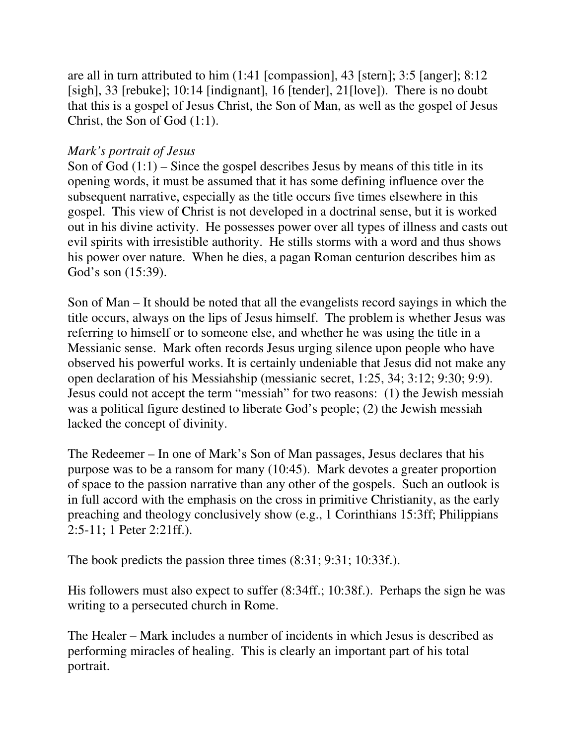are all in turn attributed to him (1:41 [compassion], 43 [stern]; 3:5 [anger]; 8:12 [sigh], 33 [rebuke]; 10:14 [indignant], 16 [tender], 21[love]). There is no doubt that this is a gospel of Jesus Christ, the Son of Man, as well as the gospel of Jesus Christ, the Son of God (1:1).

## *Mark's portrait of Jesus*

Son of God  $(1:1)$  – Since the gospel describes Jesus by means of this title in its opening words, it must be assumed that it has some defining influence over the subsequent narrative, especially as the title occurs five times elsewhere in this gospel. This view of Christ is not developed in a doctrinal sense, but it is worked out in his divine activity. He possesses power over all types of illness and casts out evil spirits with irresistible authority. He stills storms with a word and thus shows his power over nature. When he dies, a pagan Roman centurion describes him as God's son (15:39).

Son of Man – It should be noted that all the evangelists record sayings in which the title occurs, always on the lips of Jesus himself. The problem is whether Jesus was referring to himself or to someone else, and whether he was using the title in a Messianic sense. Mark often records Jesus urging silence upon people who have observed his powerful works. It is certainly undeniable that Jesus did not make any open declaration of his Messiahship (messianic secret, 1:25, 34; 3:12; 9:30; 9:9). Jesus could not accept the term "messiah" for two reasons: (1) the Jewish messiah was a political figure destined to liberate God's people; (2) the Jewish messiah lacked the concept of divinity.

The Redeemer – In one of Mark's Son of Man passages, Jesus declares that his purpose was to be a ransom for many (10:45). Mark devotes a greater proportion of space to the passion narrative than any other of the gospels. Such an outlook is in full accord with the emphasis on the cross in primitive Christianity, as the early preaching and theology conclusively show (e.g., 1 Corinthians 15:3ff; Philippians 2:5-11; 1 Peter 2:21ff.).

The book predicts the passion three times (8:31; 9:31; 10:33f.).

His followers must also expect to suffer (8:34ff.; 10:38f.). Perhaps the sign he was writing to a persecuted church in Rome.

The Healer – Mark includes a number of incidents in which Jesus is described as performing miracles of healing. This is clearly an important part of his total portrait.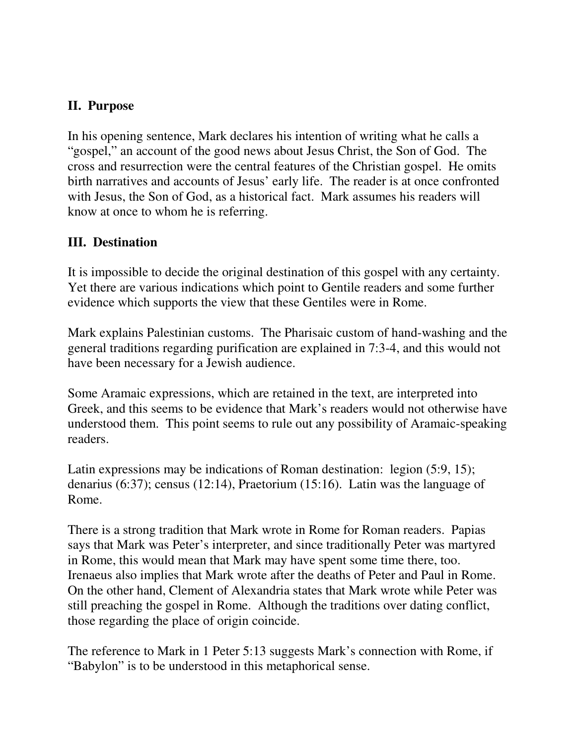## **II. Purpose**

In his opening sentence, Mark declares his intention of writing what he calls a "gospel," an account of the good news about Jesus Christ, the Son of God. The cross and resurrection were the central features of the Christian gospel. He omits birth narratives and accounts of Jesus' early life. The reader is at once confronted with Jesus, the Son of God, as a historical fact. Mark assumes his readers will know at once to whom he is referring.

## **III. Destination**

It is impossible to decide the original destination of this gospel with any certainty. Yet there are various indications which point to Gentile readers and some further evidence which supports the view that these Gentiles were in Rome.

Mark explains Palestinian customs. The Pharisaic custom of hand-washing and the general traditions regarding purification are explained in 7:3-4, and this would not have been necessary for a Jewish audience.

Some Aramaic expressions, which are retained in the text, are interpreted into Greek, and this seems to be evidence that Mark's readers would not otherwise have understood them. This point seems to rule out any possibility of Aramaic-speaking readers.

Latin expressions may be indications of Roman destination: legion (5:9, 15); denarius (6:37); census (12:14), Praetorium (15:16). Latin was the language of Rome.

There is a strong tradition that Mark wrote in Rome for Roman readers. Papias says that Mark was Peter's interpreter, and since traditionally Peter was martyred in Rome, this would mean that Mark may have spent some time there, too. Irenaeus also implies that Mark wrote after the deaths of Peter and Paul in Rome. On the other hand, Clement of Alexandria states that Mark wrote while Peter was still preaching the gospel in Rome. Although the traditions over dating conflict, those regarding the place of origin coincide.

The reference to Mark in 1 Peter 5:13 suggests Mark's connection with Rome, if "Babylon" is to be understood in this metaphorical sense.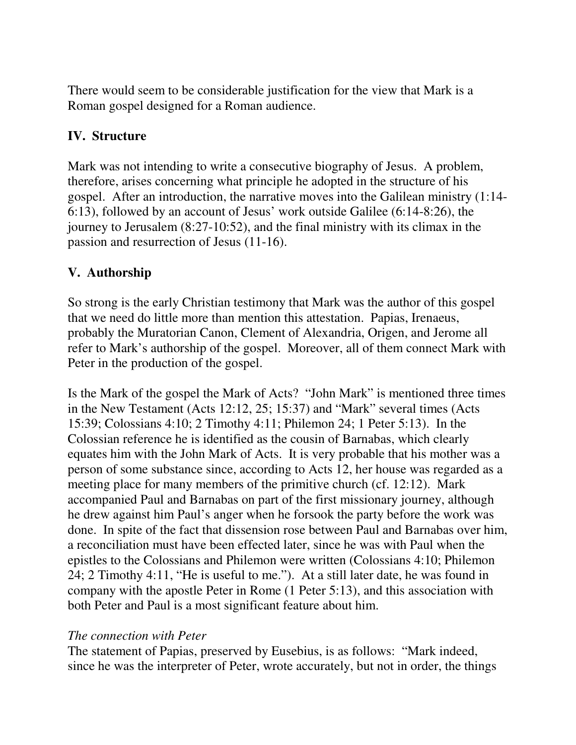There would seem to be considerable justification for the view that Mark is a Roman gospel designed for a Roman audience.

## **IV. Structure**

Mark was not intending to write a consecutive biography of Jesus. A problem, therefore, arises concerning what principle he adopted in the structure of his gospel. After an introduction, the narrative moves into the Galilean ministry (1:14- 6:13), followed by an account of Jesus' work outside Galilee (6:14-8:26), the journey to Jerusalem (8:27-10:52), and the final ministry with its climax in the passion and resurrection of Jesus (11-16).

## **V. Authorship**

So strong is the early Christian testimony that Mark was the author of this gospel that we need do little more than mention this attestation. Papias, Irenaeus, probably the Muratorian Canon, Clement of Alexandria, Origen, and Jerome all refer to Mark's authorship of the gospel. Moreover, all of them connect Mark with Peter in the production of the gospel.

Is the Mark of the gospel the Mark of Acts? "John Mark" is mentioned three times in the New Testament (Acts 12:12, 25; 15:37) and "Mark" several times (Acts 15:39; Colossians 4:10; 2 Timothy 4:11; Philemon 24; 1 Peter 5:13). In the Colossian reference he is identified as the cousin of Barnabas, which clearly equates him with the John Mark of Acts. It is very probable that his mother was a person of some substance since, according to Acts 12, her house was regarded as a meeting place for many members of the primitive church (cf. 12:12). Mark accompanied Paul and Barnabas on part of the first missionary journey, although he drew against him Paul's anger when he forsook the party before the work was done. In spite of the fact that dissension rose between Paul and Barnabas over him, a reconciliation must have been effected later, since he was with Paul when the epistles to the Colossians and Philemon were written (Colossians 4:10; Philemon 24; 2 Timothy 4:11, "He is useful to me."). At a still later date, he was found in company with the apostle Peter in Rome (1 Peter 5:13), and this association with both Peter and Paul is a most significant feature about him.

#### *The connection with Peter*

The statement of Papias, preserved by Eusebius, is as follows: "Mark indeed, since he was the interpreter of Peter, wrote accurately, but not in order, the things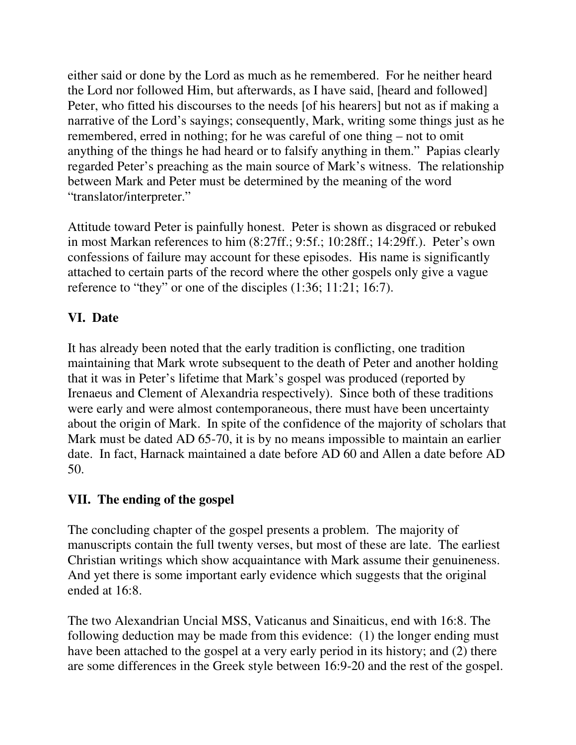either said or done by the Lord as much as he remembered. For he neither heard the Lord nor followed Him, but afterwards, as I have said, [heard and followed] Peter, who fitted his discourses to the needs [of his hearers] but not as if making a narrative of the Lord's sayings; consequently, Mark, writing some things just as he remembered, erred in nothing; for he was careful of one thing – not to omit anything of the things he had heard or to falsify anything in them." Papias clearly regarded Peter's preaching as the main source of Mark's witness. The relationship between Mark and Peter must be determined by the meaning of the word "translator/interpreter."

Attitude toward Peter is painfully honest. Peter is shown as disgraced or rebuked in most Markan references to him (8:27ff.; 9:5f.; 10:28ff.; 14:29ff.). Peter's own confessions of failure may account for these episodes. His name is significantly attached to certain parts of the record where the other gospels only give a vague reference to "they" or one of the disciples (1:36; 11:21; 16:7).

# **VI. Date**

It has already been noted that the early tradition is conflicting, one tradition maintaining that Mark wrote subsequent to the death of Peter and another holding that it was in Peter's lifetime that Mark's gospel was produced (reported by Irenaeus and Clement of Alexandria respectively). Since both of these traditions were early and were almost contemporaneous, there must have been uncertainty about the origin of Mark. In spite of the confidence of the majority of scholars that Mark must be dated AD 65-70, it is by no means impossible to maintain an earlier date. In fact, Harnack maintained a date before AD 60 and Allen a date before AD 50.

## **VII. The ending of the gospel**

The concluding chapter of the gospel presents a problem. The majority of manuscripts contain the full twenty verses, but most of these are late. The earliest Christian writings which show acquaintance with Mark assume their genuineness. And yet there is some important early evidence which suggests that the original ended at 16:8.

The two Alexandrian Uncial MSS, Vaticanus and Sinaiticus, end with 16:8. The following deduction may be made from this evidence: (1) the longer ending must have been attached to the gospel at a very early period in its history; and (2) there are some differences in the Greek style between 16:9-20 and the rest of the gospel.